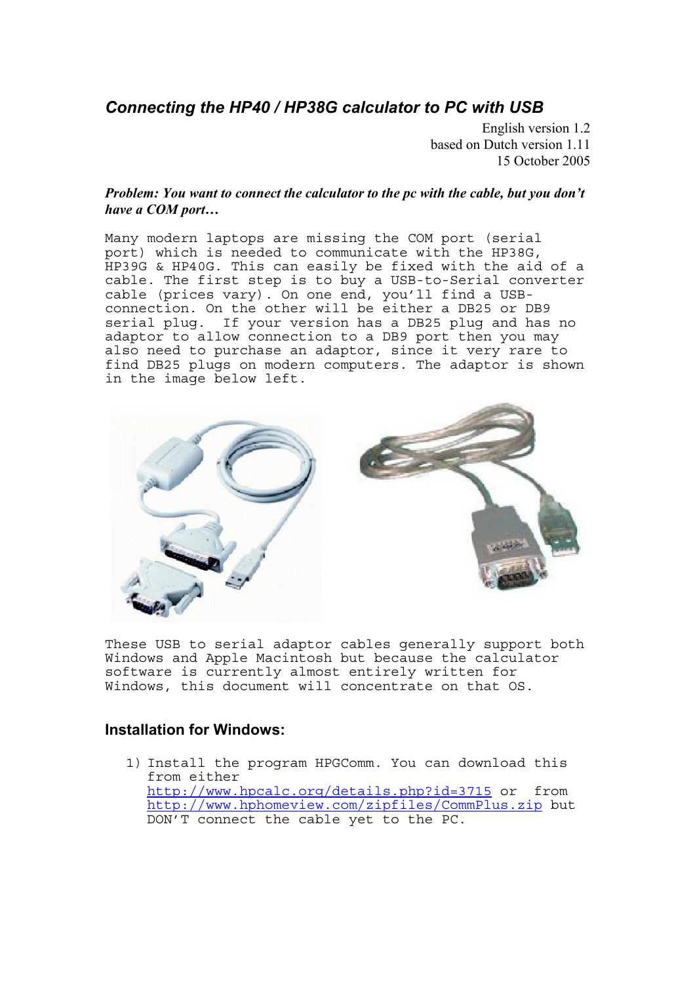## *Connecting the HP40 / HP38G calculator to PC with USB*

English version 1.2 based on Dutch version 1.11 15 October 2005

## *Problem: You want to connect the calculator to the pc with the cable, but you don't have a COM port…*

Many modern laptops are missing the COM port (serial port) which is needed to communicate with the HP38G, HP39G & HP40G. This can easily be fixed with the aid of a cable. The first step is to buy a USB-to-Serial converter cable (prices vary). On one end, you'll find a USBconnection. On the other will be either a DB25 or DB9 serial plug. If your version has a DB25 plug and has no adaptor to allow connection to a DB9 port then you may also need to purchase an adaptor, since it very rare to find DB25 plugs on modern computers. The adaptor is shown in the image below left.



These USB to serial adaptor cables generally support both Windows and Apple Macintosh but because the calculator software is currently almost entirely written for Windows, this document will concentrate on that OS.

## **Installation for Windows:**

1) Install the program HPGComm. You can download this from either <http://www.hpcalc.org/details.php?id=3715> or from <http://www.hphomeview.com/zipfiles/CommPlus.zip>but DON'T connect the cable yet to the PC.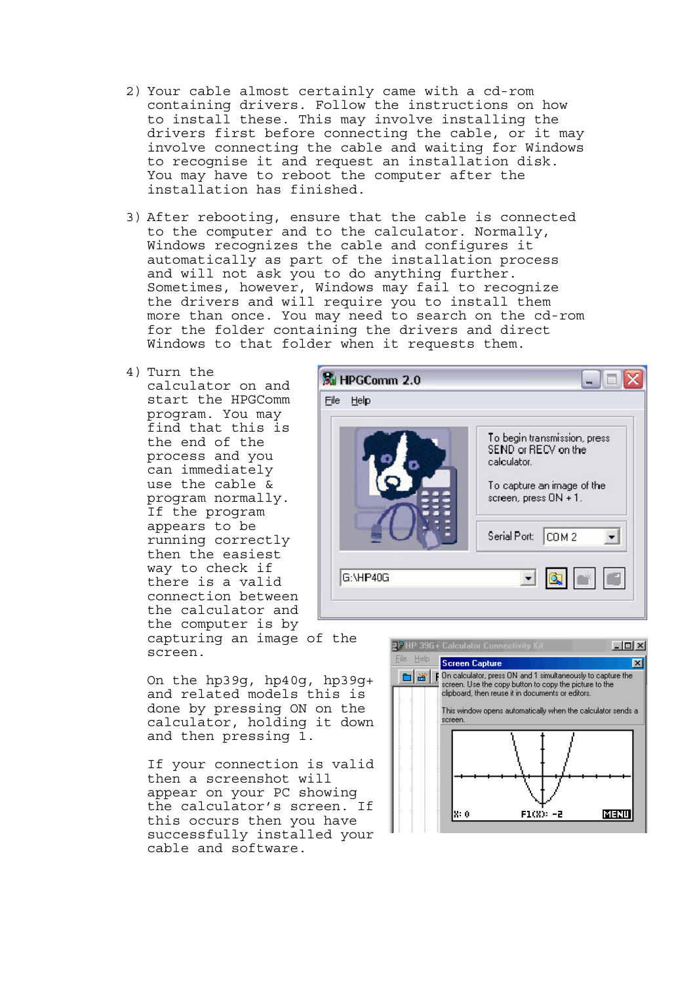- 2) Your cable almost certainly came with a cd-rom containing drivers. Follow the instructions on how to install these. This may involve installing the drivers first before connecting the cable, or it may involve connecting the cable and waiting for Windows to recognise it and request an installation disk. You may have to reboot the computer after the installation has finished.
- 3) After rebooting, ensure that the cable is connected to the computer and to the calculator. Normally, Windows recognizes the cable and configures it automatically as part of the installation process and will not ask you to do anything further. Sometimes, however, Windows may fail to recognize the drivers and will require you to install them more than once. You may need to search on the cd-rom for the folder containing the drivers and direct Windows to that folder when it requests them.
- 4) Turn the calculator on and start the HPGComm program. You may find that this is the end of the process and you can immediately use the cable & program normally. If the program appears to be running correctly then the easiest way to check if there is a valid connection between the calculator and the computer is by



capturing an image of the screen.

On the hp39g, hp40g, hp39g+ and related models this is done by pressing ON on the calculator, holding it down and then pressing 1.

If your connection is valid then a screenshot will appear on your PC showing the calculator's screen. If this occurs then you have successfully installed your cable and software.

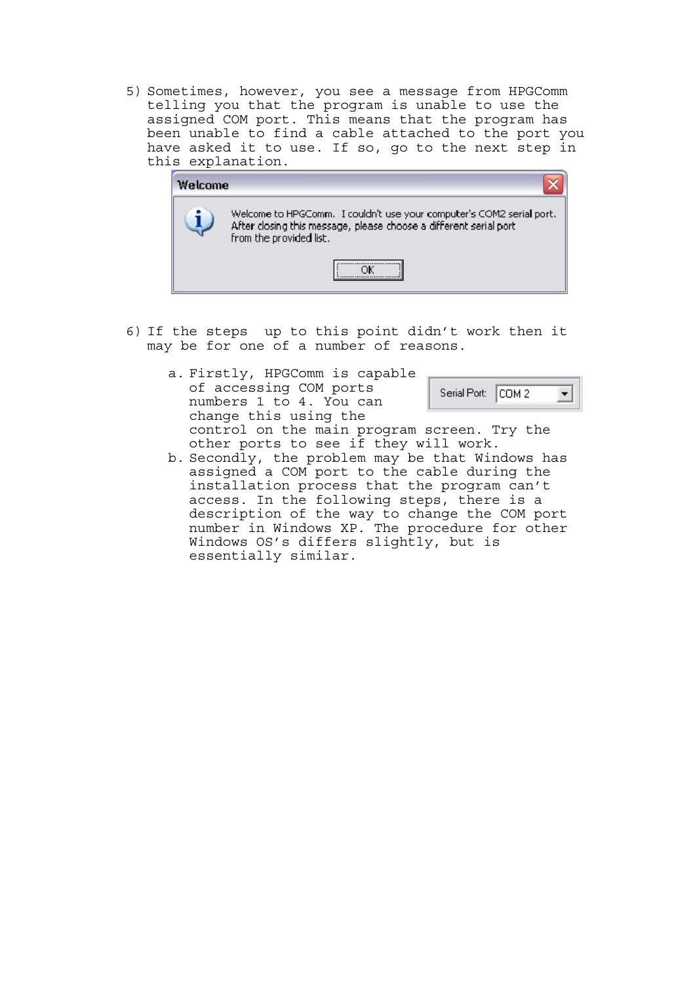5) Sometimes, however, you see a message from HPGComm telling you that the program is unable to use the assigned COM port. This means that the program has been unable to find a cable attached to the port you have asked it to use. If so, go to the next step in this explanation.



- 6) If the steps up to this point didn't work then it may be for one of a number of reasons.
	- a. Firstly, HPGComm is capable of accessing COM ports Serial Port: COM 2  $\blacktriangledown$ numbers 1 to 4. You can change this using the control on the main program screen. Try the other ports to see if they will work.
	- b. Secondly, the problem may be that Windows has assigned a COM port to the cable during the installation process that the program can't access. In the following steps, there is a description of the way to change the COM port number in Windows XP. The procedure for other Windows OS's differs slightly, but is essentially similar.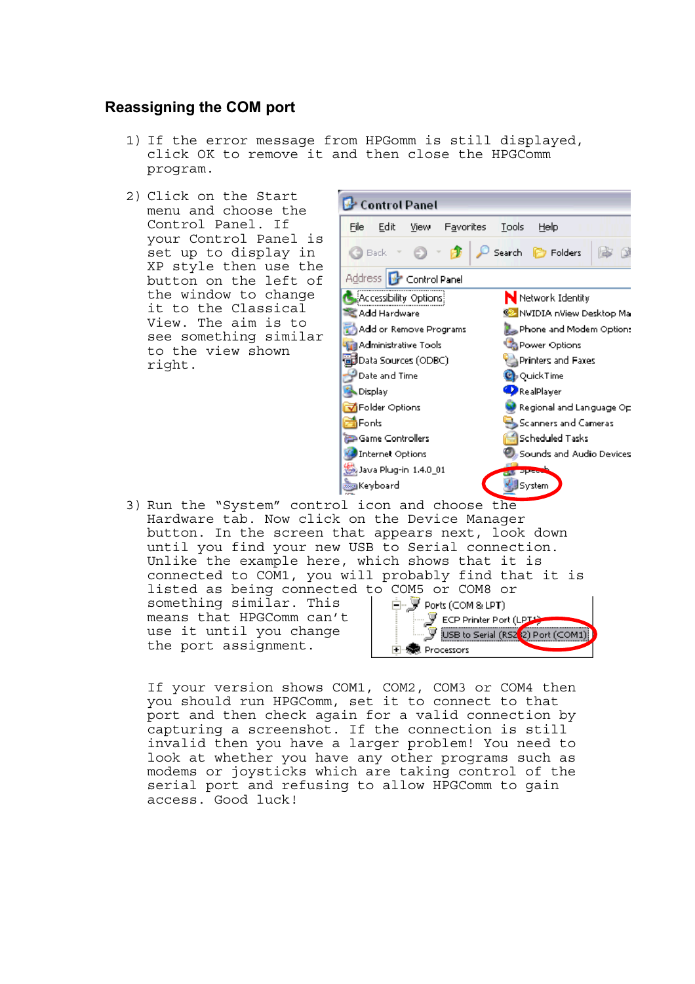## **Reassigning the COM port**

- 1) If the error message from HPGomm is still displayed, click OK to remove it and then close the HPGComm program.
- 2) Click on the Start menu and choose the Control Panel. If your Control Panel is set up to display in XP style then use the button on the left of the window to change it to the Classical View. The aim is to see something similar to the view shown right.



Hardware tab. Now click on the Device Manager button. In the screen that appears next, look down until you find your new USB to Serial connection. Unlike the example here, which shows that it is connected to COM1, you will probably find that it is listed as being connected to COM5 or COM8 or something similar. This 白 y Ports (COM & LPT)  $\mathcal F$  ECP Printer Port (LPT) means that HPGComm can't use it until you change USB to Serial (RS2<sup>2</sup>2) Port (COM1) the port assignment. **E** ··泰 Processors

If your version shows COM1, COM2, COM3 or COM4 then you should run HPGComm, set it to connect to that port and then check again for a valid connection by capturing a screenshot. If the connection is still invalid then you have a larger problem! You need to look at whether you have any other programs such as modems or joysticks which are taking control of the serial port and refusing to allow HPGComm to gain access. Good luck!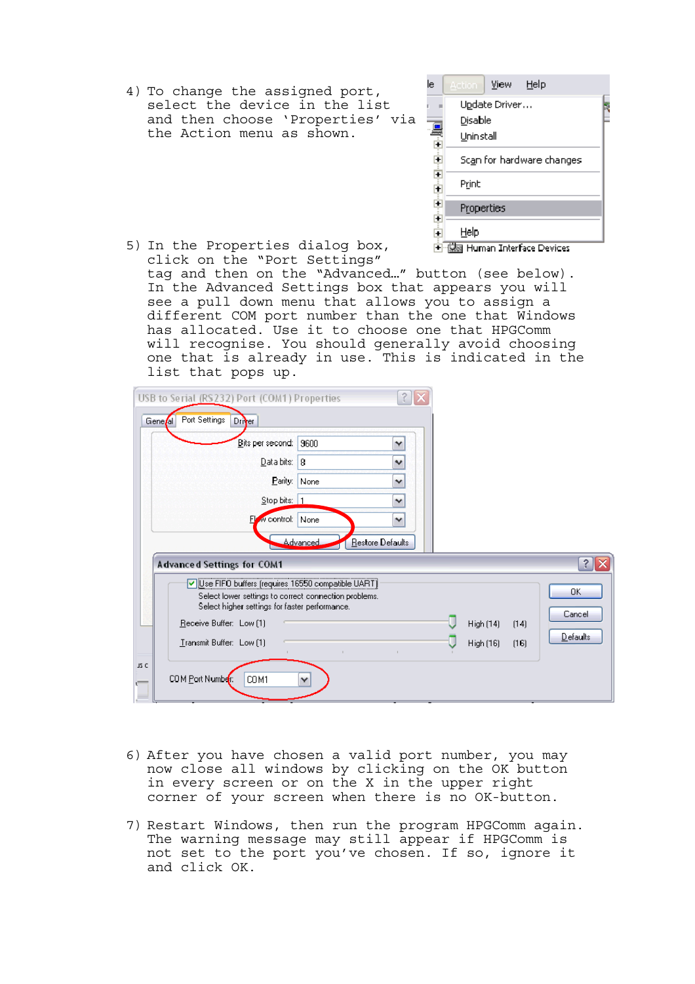4) To change the assigned port, select the device in the list and then choose 'Properties' via the Action menu as shown.

| Update Driver                                                                                                                                                                                                                                 |  |  |  |  |  |  |  |  |
|-----------------------------------------------------------------------------------------------------------------------------------------------------------------------------------------------------------------------------------------------|--|--|--|--|--|--|--|--|
| Disable                                                                                                                                                                                                                                       |  |  |  |  |  |  |  |  |
| Uninstall                                                                                                                                                                                                                                     |  |  |  |  |  |  |  |  |
| Sc <u>a</u> n for hardware changes                                                                                                                                                                                                            |  |  |  |  |  |  |  |  |
| <u>Lyck change in the change of the change of the control of the control of the control of the control of the control of the control of the control of the control of the control of the control of the control of the control o</u><br>Print |  |  |  |  |  |  |  |  |
| Properties                                                                                                                                                                                                                                    |  |  |  |  |  |  |  |  |
| Help<br>illea Human Intorface Devices                                                                                                                                                                                                         |  |  |  |  |  |  |  |  |

5) In the Properties dialog box, 国··<u>俄國</u> Human Interface Devices click on the "Port Settings" tag and then on the "Advanced…" button (see below). In the Advanced Settings box that appears you will see a pull down menu that allows you to assign a different COM port number than the one that Windows has allocated. Use it to choose one that HPGComm will recognise. You should generally avoid choosing one that is already in use. This is indicated in the list that pops up.

| USB to Serial (RS232) Port (COM1) Properties        |                                                                                                         |                 |                  |  |           |      |           |
|-----------------------------------------------------|---------------------------------------------------------------------------------------------------------|-----------------|------------------|--|-----------|------|-----------|
| Port Settings<br>Gene <i>l</i> al                   | Driver                                                                                                  |                 |                  |  |           |      |           |
|                                                     | Bits per second:                                                                                        | 9600            | ٧                |  |           |      |           |
|                                                     | Data bits: 8                                                                                            |                 | $\checkmark$     |  |           |      |           |
|                                                     | Parity:                                                                                                 | None            | $\checkmark$     |  |           |      |           |
|                                                     | Stop bits: 1                                                                                            |                 | $\checkmark$     |  |           |      |           |
|                                                     | Flow control: None                                                                                      |                 | $\checkmark$     |  |           |      |           |
|                                                     |                                                                                                         | <b>Advanced</b> | Restore Defaults |  |           |      |           |
| <b>Advanced Settings for COM1</b>                   |                                                                                                         |                 |                  |  |           |      | $\hat{ }$ |
| V Use FIFO buffers (requires 16550 compatible UART) | Select lower settings to correct connection problems.<br>Select higher settings for faster performance. |                 |                  |  |           |      | OK        |
| Receive Buffer: Low [1]                             |                                                                                                         |                 |                  |  | High (14) | (14) | Cancel    |
| Transmit Buffer: Low [1]                            |                                                                                                         |                 |                  |  | High (16) | (16) | Defaults  |
| JS C<br>COM Port Number:                            | COM1                                                                                                    | v               |                  |  |           |      |           |

- 6) After you have chosen a valid port number, you may now close all windows by clicking on the OK button in every screen or on the X in the upper right corner of your screen when there is no OK-button.
- 7) Restart Windows, then run the program HPGComm again. The warning message may still appear if HPGComm is not set to the port you've chosen. If so, ignore it and click OK.